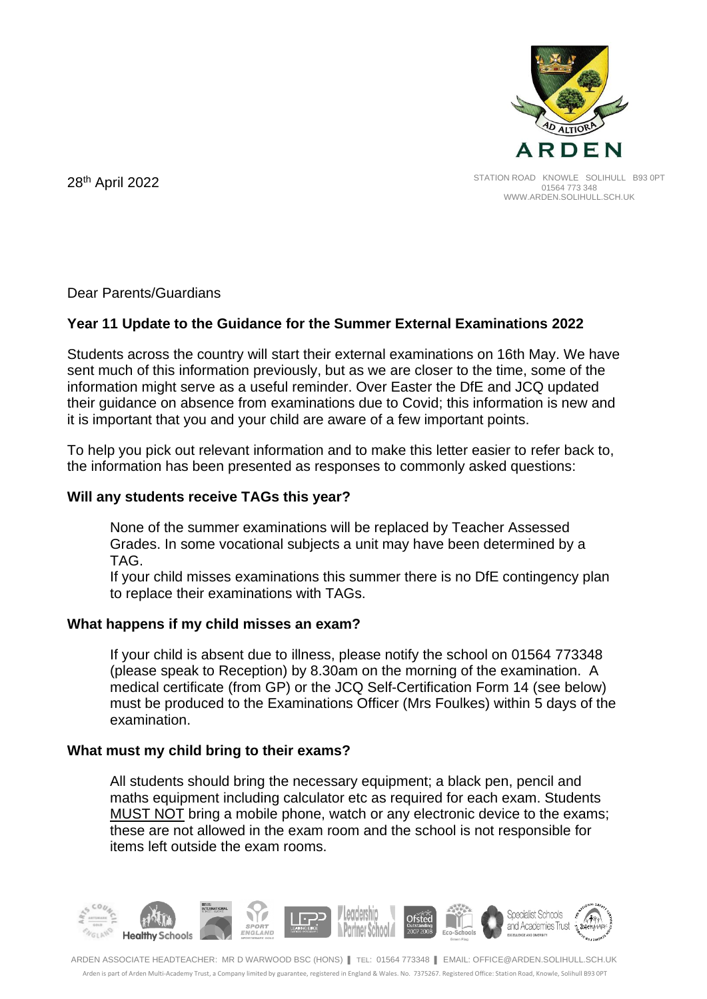

STATION ROAD KNOWLE SOLIHULL B93 0PT 01564 773 348 WWW.ARDEN.SOLIHULL.SCH.UK

28<sup>th</sup> April 2022

Dear Parents/Guardians

# **Year 11 Update to the Guidance for the Summer External Examinations 2022**

Students across the country will start their external examinations on 16th May. We have sent much of this information previously, but as we are closer to the time, some of the information might serve as a useful reminder. Over Easter the DfE and JCQ updated their guidance on absence from examinations due to Covid; this information is new and it is important that you and your child are aware of a few important points.

To help you pick out relevant information and to make this letter easier to refer back to, the information has been presented as responses to commonly asked questions:

## **Will any students receive TAGs this year?**

None of the summer examinations will be replaced by Teacher Assessed Grades. In some vocational subjects a unit may have been determined by a TAG.

If your child misses examinations this summer there is no DfE contingency plan to replace their examinations with TAGs.

### **What happens if my child misses an exam?**

If your child is absent due to illness, please notify the school on 01564 773348 (please speak to Reception) by 8.30am on the morning of the examination. A medical certificate (from GP) or the JCQ Self-Certification Form 14 (see below) must be produced to the Examinations Officer (Mrs Foulkes) within 5 days of the examination.

# **What must my child bring to their exams?**

All students should bring the necessary equipment; a black pen, pencil and maths equipment including calculator etc as required for each exam. Students MUST NOT bring a mobile phone, watch or any electronic device to the exams; these are not allowed in the exam room and the school is not responsible for items left outside the exam rooms.

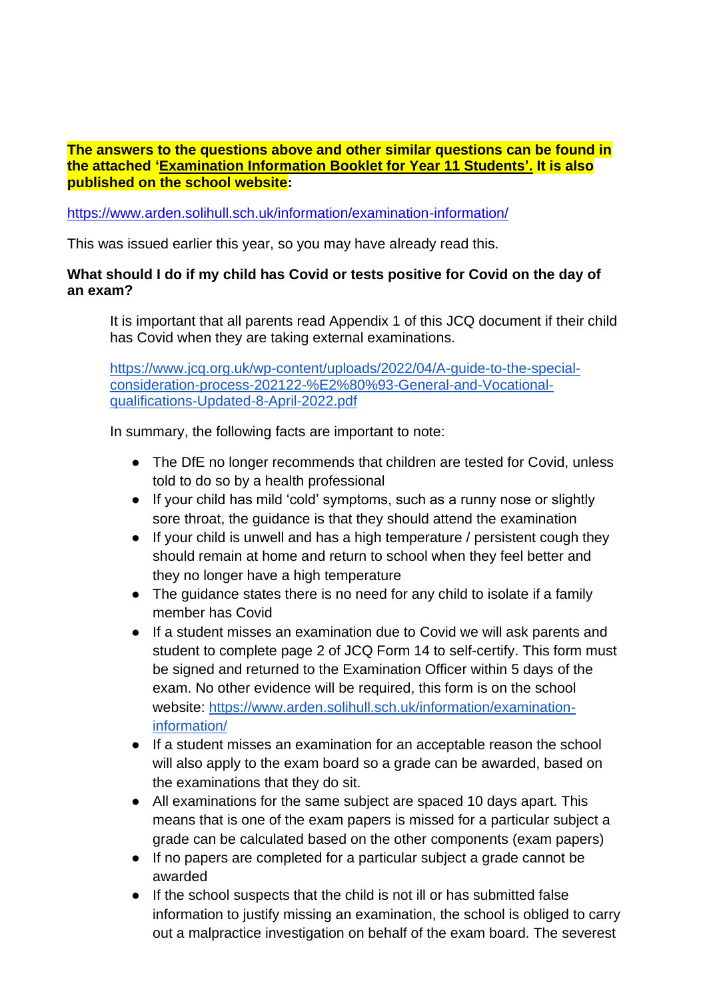**The answers to the questions above and other similar questions can be found in the attached 'Examination Information Booklet for Year 11 Students'. It is also published on the school website:** 

<https://www.arden.solihull.sch.uk/information/examination-information/>

This was issued earlier this year, so you may have already read this.

## **What should I do if my child has Covid or tests positive for Covid on the day of an exam?**

It is important that all parents read Appendix 1 of this JCQ document if their child has Covid when they are taking external examinations.

[https://www.jcq.org.uk/wp-content/uploads/2022/04/A-guide-to-the-special](https://www.jcq.org.uk/wp-content/uploads/2022/04/A-guide-to-the-special-consideration-process-202122-%E2%80%93-General-and-Vocational-qualifications-Updated-8-April-2022.pdf)[consideration-process-202122-%E2%80%93-General-and-Vocational](https://www.jcq.org.uk/wp-content/uploads/2022/04/A-guide-to-the-special-consideration-process-202122-%E2%80%93-General-and-Vocational-qualifications-Updated-8-April-2022.pdf)[qualifications-Updated-8-April-2022.pdf](https://www.jcq.org.uk/wp-content/uploads/2022/04/A-guide-to-the-special-consideration-process-202122-%E2%80%93-General-and-Vocational-qualifications-Updated-8-April-2022.pdf)

In summary, the following facts are important to note:

- The DfE no longer recommends that children are tested for Covid, unless told to do so by a health professional
- If your child has mild 'cold' symptoms, such as a runny nose or slightly sore throat, the guidance is that they should attend the examination
- If your child is unwell and has a high temperature / persistent cough they should remain at home and return to school when they feel better and they no longer have a high temperature
- The quidance states there is no need for any child to isolate if a family member has Covid
- If a student misses an examination due to Covid we will ask parents and student to complete page 2 of JCQ Form 14 to self-certify. This form must be signed and returned to the Examination Officer within 5 days of the exam. No other evidence will be required, this form is on the school website: [https://www.arden.solihull.sch.uk/information/examination](https://www.arden.solihull.sch.uk/information/examination-information/)[information/](https://www.arden.solihull.sch.uk/information/examination-information/)
- If a student misses an examination for an acceptable reason the school will also apply to the exam board so a grade can be awarded, based on the examinations that they do sit.
- All examinations for the same subject are spaced 10 days apart. This means that is one of the exam papers is missed for a particular subject a grade can be calculated based on the other components (exam papers)
- If no papers are completed for a particular subject a grade cannot be awarded
- If the school suspects that the child is not ill or has submitted false information to justify missing an examination, the school is obliged to carry out a malpractice investigation on behalf of the exam board. The severest